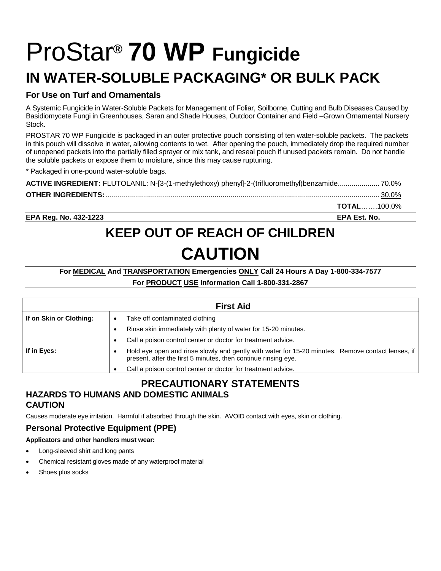# ProStar**® 70 WP Fungicide**

# **IN WATER-SOLUBLE PACKAGING\* OR BULK PACK**

# **For Use on Turf and Ornamentals**

A Systemic Fungicide in Water-Soluble Packets for Management of Foliar, Soilborne, Cutting and Bulb Diseases Caused by Basidiomycete Fungi in Greenhouses, Saran and Shade Houses, Outdoor Container and Field –Grown Ornamental Nursery Stock.

PROSTAR 70 WP Fungicide is packaged in an outer protective pouch consisting of ten water-soluble packets. The packets in this pouch will dissolve in water, allowing contents to wet. After opening the pouch, immediately drop the required number of unopened packets into the partially filled sprayer or mix tank, and reseal pouch if unused packets remain. Do not handle the soluble packets or expose them to moisture, since this may cause rupturing.

\* Packaged in one-pound water-soluble bags.

| ACTIVE INGREDIENT: FLUTOLANIL: N-[3-(1-methylethoxy) phenyl]-2-(trifluoromethyl)benzamide 70.0% |       |            |
|-------------------------------------------------------------------------------------------------|-------|------------|
|                                                                                                 |       |            |
|                                                                                                 | ----- | $\sqrt{2}$ |

**EPA Reg. No. 432-1223 EPA Est. No.** 

**TOTAL**…….100.0%

# **KEEP OUT OF REACH OF CHILDREN CAUTION**

**For MEDICAL And TRANSPORTATION Emergencies ONLY Call 24 Hours A Day 1-800-334-7577**

#### **For PRODUCT USE Information Call 1-800-331-2867**

|                         | <b>First Aid</b>                                                                                                                                                    |
|-------------------------|---------------------------------------------------------------------------------------------------------------------------------------------------------------------|
| If on Skin or Clothing: | Take off contaminated clothing<br>$\bullet$                                                                                                                         |
|                         | Rinse skin immediately with plenty of water for 15-20 minutes.                                                                                                      |
|                         | Call a poison control center or doctor for treatment advice.                                                                                                        |
| If in Eyes:             | Hold eye open and rinse slowly and gently with water for 15-20 minutes. Remove contact lenses, if<br>present, after the first 5 minutes, then continue rinsing eye. |
|                         | Call a poison control center or doctor for treatment advice.                                                                                                        |

# **PRECAUTIONARY STATEMENTS HAZARDS TO HUMANS AND DOMESTIC ANIMALS**

## **CAUTION**

Causes moderate eye irritation. Harmful if absorbed through the skin. AVOID contact with eyes, skin or clothing.

# **Personal Protective Equipment (PPE)**

**Applicators and other handlers must wear:**

- Long-sleeved shirt and long pants
- Chemical resistant gloves made of any waterproof material
- Shoes plus socks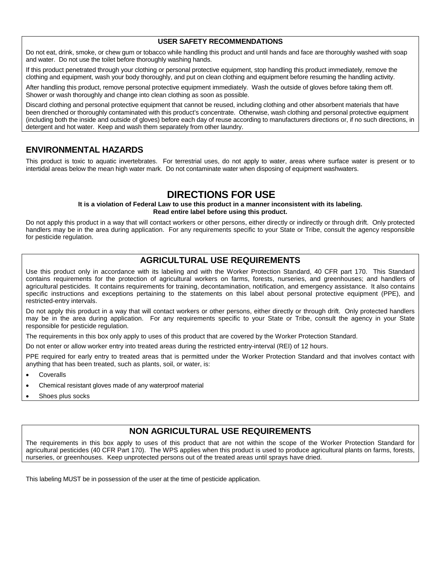#### **USER SAFETY RECOMMENDATIONS**

Do not eat, drink, smoke, or chew gum or tobacco while handling this product and until hands and face are thoroughly washed with soap and water. Do not use the toilet before thoroughly washing hands.

If this product penetrated through your clothing or personal protective equipment, stop handling this product immediately, remove the clothing and equipment, wash your body thoroughly, and put on clean clothing and equipment before resuming the handling activity.

After handling this product, remove personal protective equipment immediately. Wash the outside of gloves before taking them off. Shower or wash thoroughly and change into clean clothing as soon as possible.

Discard clothing and personal protective equipment that cannot be reused, including clothing and other absorbent materials that have been drenched or thoroughly contaminated with this product's concentrate. Otherwise, wash clothing and personal protective equipment (including both the inside and outside of gloves) before each day of reuse according to manufacturers directions or, if no such directions, in detergent and hot water. Keep and wash them separately from other laundry.

#### **ENVIRONMENTAL HAZARDS**

This product is toxic to aquatic invertebrates. For terrestrial uses, do not apply to water, areas where surface water is present or to intertidal areas below the mean high water mark. Do not contaminate water when disposing of equipment washwaters.

# **DIRECTIONS FOR USE**

#### **It is a violation of Federal Law to use this product in a manner inconsistent with its labeling. Read entire label before using this product.**

Do not apply this product in a way that will contact workers or other persons, either directly or indirectly or through drift. Only protected handlers may be in the area during application. For any requirements specific to your State or Tribe, consult the agency responsible for pesticide regulation.

#### **AGRICULTURAL USE REQUIREMENTS**

Use this product only in accordance with its labeling and with the Worker Protection Standard, 40 CFR part 170. This Standard contains requirements for the protection of agricultural workers on farms, forests, nurseries, and greenhouses; and handlers of agricultural pesticides. It contains requirements for training, decontamination, notification, and emergency assistance. It also contains specific instructions and exceptions pertaining to the statements on this label about personal protective equipment (PPE), and restricted-entry intervals.

Do not apply this product in a way that will contact workers or other persons, either directly or through drift. Only protected handlers may be in the area during application. For any requirements specific to your State or Tribe, consult the agency in your State responsible for pesticide regulation.

The requirements in this box only apply to uses of this product that are covered by the Worker Protection Standard.

Do not enter or allow worker entry into treated areas during the restricted entry-interval (REI) of 12 hours.

PPE required for early entry to treated areas that is permitted under the Worker Protection Standard and that involves contact with anything that has been treated, such as plants, soil, or water, is:

- **Coveralls**
- Chemical resistant gloves made of any waterproof material
- Shoes plus socks

## **NON AGRICULTURAL USE REQUIREMENTS**

The requirements in this box apply to uses of this product that are not within the scope of the Worker Protection Standard for agricultural pesticides (40 CFR Part 170). The WPS applies when this product is used to produce agricultural plants on farms, forests, nurseries, or greenhouses. Keep unprotected persons out of the treated areas until sprays have dried.

This labeling MUST be in possession of the user at the time of pesticide application.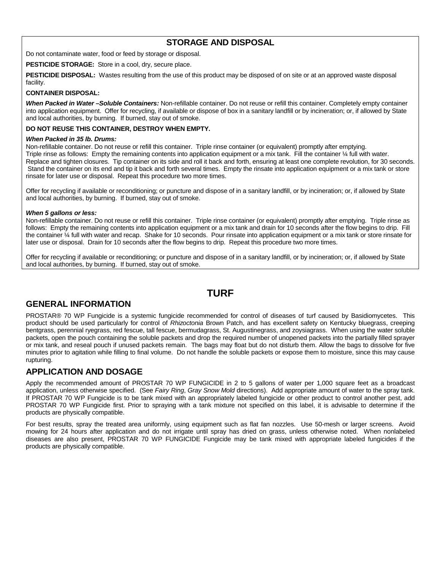#### **STORAGE AND DISPOSAL**

Do not contaminate water, food or feed by storage or disposal.

**PESTICIDE STORAGE:** Store in a cool, dry, secure place.

**PESTICIDE DISPOSAL:** Wastes resulting from the use of this product may be disposed of on site or at an approved waste disposal facility.

#### **CONTAINER DISPOSAL:**

*When Packed in Water –Soluble Containers:* Non-refillable container. Do not reuse or refill this container. Completely empty container into application equipment. Offer for recycling, if available or dispose of box in a sanitary landfill or by incineration; or, if allowed by State and local authorities, by burning. If burned, stay out of smoke.

#### **DO NOT REUSE THIS CONTAINER, DESTROY WHEN EMPTY.**

#### *When Packed in 35 lb. Drums:*

Non-refillable container. Do not reuse or refill this container. Triple rinse container (or equivalent) promptly after emptying. Triple rinse as follows: Empty the remaining contents into application equipment or a mix tank. Fill the container ¼ full with water. Replace and tighten closures. Tip container on its side and roll it back and forth, ensuring at least one complete revolution, for 30 seconds. Stand the container on its end and tip it back and forth several times. Empty the rinsate into application equipment or a mix tank or store rinsate for later use or disposal. Repeat this procedure two more times.

Offer for recycling if available or reconditioning; or puncture and dispose of in a sanitary landfill, or by incineration; or, if allowed by State and local authorities, by burning. If burned, stay out of smoke.

#### *When 5 gallons or less:*

Non-refillable container. Do not reuse or refill this container. Triple rinse container (or equivalent) promptly after emptying. Triple rinse as follows: Empty the remaining contents into application equipment or a mix tank and drain for 10 seconds after the flow begins to drip. Fill the container ¼ full with water and recap. Shake for 10 seconds. Pour rinsate into application equipment or a mix tank or store rinsate for later use or disposal. Drain for 10 seconds after the flow begins to drip. Repeat this procedure two more times.

Offer for recycling if available or reconditioning; or puncture and dispose of in a sanitary landfill, or by incineration; or, if allowed by State and local authorities, by burning. If burned, stay out of smoke.

# **TURF**

#### **GENERAL INFORMATION**

PROSTAR® 70 WP Fungicide is a systemic fungicide recommended for control of diseases of turf caused by Basidiomycetes. This product should be used particularly for control of *Rhizoctonia* Brown Patch, and has excellent safety on Kentucky bluegrass, creeping bentgrass, perennial ryegrass, red fescue, tall fescue, bermudagrass, St. Augustinegrass, and zoysiagrass. When using the water soluble packets, open the pouch containing the soluble packets and drop the required number of unopened packets into the partially filled sprayer or mix tank, and reseal pouch if unused packets remain. The bags may float but do not disturb them. Allow the bags to dissolve for five minutes prior to agitation while filling to final volume. Do not handle the soluble packets or expose them to moisture, since this may cause rupturing.

#### **APPLICATION AND DOSAGE**

Apply the recommended amount of PROSTAR 70 WP FUNGICIDE in 2 to 5 gallons of water per 1,000 square feet as a broadcast application, unless otherwise specified. (See *Fairy Ring*, *Gray Snow Mold* directions). Add appropriate amount of water to the spray tank. If PROSTAR 70 WP Fungicide is to be tank mixed with an appropriately labeled fungicide or other product to control another pest, add PROSTAR 70 WP Fungicide first. Prior to spraying with a tank mixture not specified on this label, it is advisable to determine if the products are physically compatible.

For best results, spray the treated area uniformly, using equipment such as flat fan nozzles. Use 50-mesh or larger screens. Avoid mowing for 24 hours after application and do not irrigate until spray has dried on grass, unless otherwise noted. When nonlabeled diseases are also present, PROSTAR 70 WP FUNGICIDE Fungicide may be tank mixed with appropriate labeled fungicides if the products are physically compatible.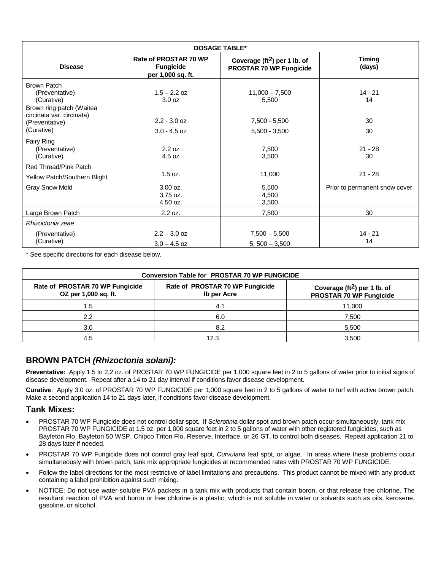| <b>DOSAGE TABLE*</b>                                                                  |                                                                |                                                                   |                               |
|---------------------------------------------------------------------------------------|----------------------------------------------------------------|-------------------------------------------------------------------|-------------------------------|
| <b>Disease</b>                                                                        | Rate of PROSTAR 70 WP<br><b>Fungicide</b><br>per 1,000 sq. ft. | Coverage ( $ft2$ ) per 1 lb. of<br><b>PROSTAR 70 WP Fungicide</b> | <b>Timing</b><br>(days)       |
| Brown Patch<br>(Preventative)<br>(Curative)                                           | $1.5 - 2.2$ oz<br>3.0 oz                                       | $11,000 - 7,500$<br>5,500                                         | $14 - 21$<br>14               |
| Brown ring patch (Waitea<br>circinata var. circinata)<br>(Preventative)<br>(Curative) | $2.2 - 3.0$ oz<br>$3.0 - 4.5$ oz                               | 7,500 - 5,500<br>$5,500 - 3,500$                                  | 30<br>30                      |
| Fairy Ring<br>(Preventative)<br>(Curative)                                            | 2.2 oz<br>4.5 oz                                               | 7,500<br>3,500                                                    | $21 - 28$<br>30               |
| Red Thread/Pink Patch<br>Yellow Patch/Southern Blight                                 | $1.5$ oz.                                                      | 11,000                                                            | $21 - 28$                     |
| <b>Gray Snow Mold</b>                                                                 | $3.00$ oz.<br>$3.75$ oz.<br>$4.50$ oz.                         | 5,500<br>4,500<br>3,500                                           | Prior to permanent snow cover |
| Large Brown Patch                                                                     | 2.2 oz.                                                        | 7,500                                                             | 30                            |
| Rhizoctonia zeae                                                                      |                                                                |                                                                   |                               |
| (Preventative)<br>(Curative)                                                          | $2.2 - 3.0$ oz<br>$3.0 - 4.5$ oz                               | $7,500 - 5,500$<br>$5,500 - 3,500$                                | $14 - 21$<br>14               |

\* See specific directions for each disease below.

| <b>Conversion Table for PROSTAR 70 WP FUNGICIDE</b>     |                                                       |                                                            |  |
|---------------------------------------------------------|-------------------------------------------------------|------------------------------------------------------------|--|
| Rate of PROSTAR 70 WP Fungicide<br>OZ per 1,000 sq. ft. | Rate of PROSTAR 70 WP Fungicide<br><b>Ib per Acre</b> | Coverage ( $ft2$ ) per 1 lb. of<br>PROSTAR 70 WP Fungicide |  |
| 1.5                                                     | 4.1                                                   | 11.000                                                     |  |
| 2.2                                                     | 6.0                                                   | 7,500                                                      |  |
| 3.0                                                     | 8.2                                                   | 5,500                                                      |  |
| 4.5                                                     | 12.3                                                  | 3.500                                                      |  |

# **BROWN PATCH** *(Rhizoctonia solani):*

**Preventative:** Apply 1.5 to 2.2 oz. of PROSTAR 70 WP FUNGICIDE per 1,000 square feet in 2 to 5 gallons of water prior to initial signs of disease development. Repeat after a 14 to 21 day interval if conditions favor disease development.

**Curative**: Apply 3.0 oz. of PROSTAR 70 WP FUNGICIDE per 1,000 square feet in 2 to 5 gallons of water to turf with active brown patch. Make a second application 14 to 21 days later, if conditions favor disease development.

#### **Tank Mixes:**

- PROSTAR 70 WP Fungicide does not control dollar spot. If *Sclerotinia* dollar spot and brown patch occur simultaneously, tank mix PROSTAR 70 WP FUNGICIDE at 1.5 oz. per 1,000 square feet in 2 to 5 gallons of water with other registered fungicides, such as Bayleton Flo, Bayleton 50 WSP, Chipco Triton Flo, Reserve, Interface, or 26 GT, to control both diseases. Repeat application 21 to 28 days later if needed.
- PROSTAR 70 WP Fungicide does not control gray leaf spot, *Curvularia* leaf spot, or algae. In areas where these problems occur simultaneously with brown patch, tank mix appropriate fungicides at recommended rates with PROSTAR 70 WP FUNGICIDE.
- Follow the label directions for the most restrictive of label limitations and precautions. This product cannot be mixed with any product containing a label prohibition against such mixing.
- NOTICE: Do not use water-soluble PVA packets in a tank mix with products that contain boron, or that release free chlorine. The resultant reaction of PVA and boron or free chlorine is a plastic, which is not soluble in water or solvents such as oils, kerosene, gasoline, or alcohol.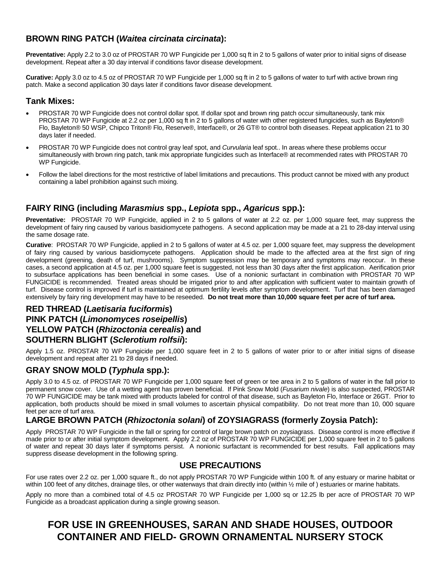# **BROWN RING PATCH (***Waitea circinata circinata***):**

**Preventative:** Apply 2.2 to 3.0 oz of PROSTAR 70 WP Fungicide per 1,000 sq ft in 2 to 5 gallons of water prior to initial signs of disease development. Repeat after a 30 day interval if conditions favor disease development.

**Curative:** Apply 3.0 oz to 4.5 oz of PROSTAR 70 WP Fungicide per 1,000 sq ft in 2 to 5 gallons of water to turf with active brown ring patch. Make a second application 30 days later if conditions favor disease development.

#### **Tank Mixes:**

- PROSTAR 70 WP Fungicide does not control dollar spot. If dollar spot and brown ring patch occur simultaneously, tank mix PROSTAR 70 WP Fungicide at 2.2 oz per 1,000 sq ft in 2 to 5 gallons of water with other registered fungicides, such as Bayleton® Flo, Bayleton® 50 WSP, Chipco Triton® Flo, Reserve®, Interface®, or 26 GT® to control both diseases. Repeat application 21 to 30 days later if needed.
- PROSTAR 70 WP Fungicide does not control gray leaf spot, and *Curvularia* leaf spot.. In areas where these problems occur simultaneously with brown ring patch, tank mix appropriate fungicides such as Interface® at recommended rates with PROSTAR 70 WP Fungicide.
- Follow the label directions for the most restrictive of label limitations and precautions. This product cannot be mixed with any product containing a label prohibition against such mixing.

## **FAIRY RING (including** *Marasmius* **spp.,** *Lepiota* **spp.,** *Agaricus* **spp.):**

**Preventative:** PROSTAR 70 WP Fungicide, applied in 2 to 5 gallons of water at 2.2 oz. per 1,000 square feet, may suppress the development of fairy ring caused by various basidiomycete pathogens. A second application may be made at a 21 to 28-day interval using the same dosage rate.

**Curative**: PROSTAR 70 WP Fungicide, applied in 2 to 5 gallons of water at 4.5 oz. per 1,000 square feet, may suppress the development of fairy ring caused by various basidiomycete pathogens. Application should be made to the affected area at the first sign of ring development (greening, death of turf, mushrooms). Symptom suppression may be temporary and symptoms may reoccur. In these cases, a second application at 4.5 oz. per 1,000 square feet is suggested, not less than 30 days after the first application. Aerification prior to subsurface applications has been beneficial in some cases. Use of a nonionic surfactant in combination with PROSTAR 70 WP FUNGICIDE is recommended. Treated areas should be irrigated prior to and after application with sufficient water to maintain growth of turf. Disease control is improved if turf is maintained at optimum fertility levels after symptom development. Turf that has been damaged extensively by fairy ring development may have to be reseeded. **Do not treat more than 10,000 square feet per acre of turf area.**

# **RED THREAD (***Laetisaria fuciformis***) PINK PATCH (***Limonomyces roseipellis***) YELLOW PATCH (***Rhizoctonia cerealis***) and SOUTHERN BLIGHT (***Sclerotium rolfsii***):**

Apply 1.5 oz. PROSTAR 70 WP Fungicide per 1,000 square feet in 2 to 5 gallons of water prior to or after initial signs of disease development and repeat after 21 to 28 days if needed.

## **GRAY SNOW MOLD (***Typhula* **spp.):**

Apply 3.0 to 4.5 oz. of PROSTAR 70 WP Fungicide per 1,000 square feet of green or tee area in 2 to 5 gallons of water in the fall prior to permanent snow cover. Use of a wetting agent has proven beneficial. If Pink Snow Mold (*Fusarium nivale*) is also suspected, PROSTAR 70 WP FUNGICIDE may be tank mixed with products labeled for control of that disease, such as Bayleton Flo, Interface or 26GT. Prior to application, both products should be mixed in small volumes to ascertain physical compatibility. Do not treat more than 10, 000 square feet per acre of turf area.

## **LARGE BROWN PATCH (***Rhizoctonia solani***) of ZOYSIAGRASS (formerly Zoysia Patch):**

Apply PROSTAR 70 WP Fungicide in the fall or spring for control of large brown patch on zoysiagrass. Disease control is more effective if made prior to or after initial symptom development. Apply 2.2 oz of PROSTAR 70 WP FUNGICIDE per 1,000 square feet in 2 to 5 gallons of water and repeat 30 days later if symptoms persist. A nonionic surfactant is recommended for best results. Fall applications may suppress disease development in the following spring.

## **USE PRECAUTIONS**

For use rates over 2.2 oz. per 1,000 square ft., do not apply PROSTAR 70 WP Fungicide within 100 ft. of any estuary or marine habitat or within 100 feet of any ditches, drainage tiles, or other waterways that drain directly into (within 1/2 mile of ) estuaries or marine habitats.

Apply no more than a combined total of 4.5 oz PROSTAR 70 WP Fungicide per 1,000 sq or 12.25 lb per acre of PROSTAR 70 WP Fungicide as a broadcast application during a single growing season.

# **FOR USE IN GREENHOUSES, SARAN AND SHADE HOUSES, OUTDOOR CONTAINER AND FIELD- GROWN ORNAMENTAL NURSERY STOCK**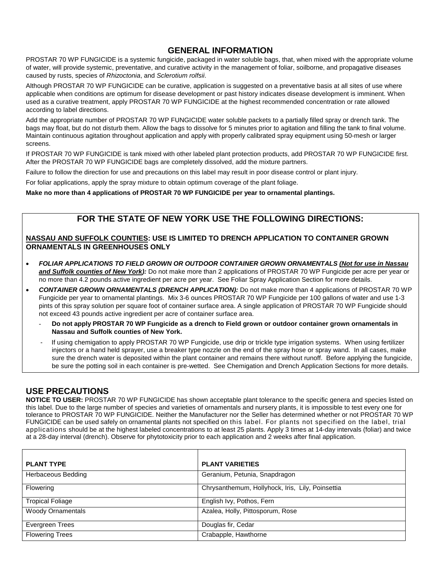## **GENERAL INFORMATION**

PROSTAR 70 WP FUNGICIDE is a systemic fungicide, packaged in water soluble bags, that, when mixed with the appropriate volume of water, will provide systemic, preventative, and curative activity in the management of foliar, soilborne, and propagative diseases caused by rusts, species of *Rhizoctonia*, and *Sclerotium rolfsii*.

Although PROSTAR 70 WP FUNGICIDE can be curative, application is suggested on a preventative basis at all sites of use where applicable when conditions are optimum for disease development or past history indicates disease development is imminent. When used as a curative treatment, apply PROSTAR 70 WP FUNGICIDE at the highest recommended concentration or rate allowed according to label directions.

Add the appropriate number of PROSTAR 70 WP FUNGICIDE water soluble packets to a partially filled spray or drench tank. The bags may float, but do not disturb them. Allow the bags to dissolve for 5 minutes prior to agitation and filling the tank to final volume. Maintain continuous agitation throughout application and apply with properly calibrated spray equipment using 50-mesh or larger screens.

If PROSTAR 70 WP FUNGICIDE is tank mixed with other labeled plant protection products, add PROSTAR 70 WP FUNGICIDE first. After the PROSTAR 70 WP FUNGICIDE bags are completely dissolved, add the mixture partners.

Failure to follow the direction for use and precautions on this label may result in poor disease control or plant injury.

For foliar applications, apply the spray mixture to obtain optimum coverage of the plant foliage.

**Make no more than 4 applications of PROSTAR 70 WP FUNGICIDE per year to ornamental plantings.**

# **FOR THE STATE OF NEW YORK USE THE FOLLOWING DIRECTIONS:**

#### **NASSAU AND SUFFOLK COUNTIES: USE IS LIMITED TO DRENCH APPLICATION TO CONTAINER GROWN ORNAMENTALS IN GREENHOUSES ONLY**

- *FOLIAR APPLICATIONS TO FIELD GROWN OR OUTDOOR CONTAINER GROWN ORNAMENTALS (Not for use in Nassau and Suffolk counties of New York):* Do not make more than 2 applications of PROSTAR 70 WP Fungicide per acre per year or no more than 4.2 pounds active ingredient per acre per year. See Foliar Spray Application Section for more details.
- *CONTAINER GROWN ORNAMENTALS (DRENCH APPLICATION):* Do not make more than 4 applications of PROSTAR 70 WP Fungicide per year to ornamental plantings. Mix 3-6 ounces PROSTAR 70 WP Fungicide per 100 gallons of water and use 1-3 pints of this spray solution per square foot of container surface area. A single application of PROSTAR 70 WP Fungicide should not exceed 43 pounds active ingredient per acre of container surface area.
	- **Do not apply PROSTAR 70 WP Fungicide as a drench to Field grown or outdoor container grown ornamentals in Nassau and Suffolk counties of New York.**
	- If using chemigation to apply PROSTAR 70 WP Fungicide, use drip or trickle type irrigation systems. When using fertilizer injectors or a hand held sprayer, use a breaker type nozzle on the end of the spray hose or spray wand. In all cases, make sure the drench water is deposited within the plant container and remains there without runoff. Before applying the fungicide, be sure the potting soil in each container is pre-wetted. See Chemigation and Drench Application Sections for more details.

# **USE PRECAUTIONS**

**NOTICE TO USER:** PROSTAR 70 WP FUNGICIDE has shown acceptable plant tolerance to the specific genera and species listed on this label. Due to the large number of species and varieties of ornamentals and nursery plants, it is impossible to test every one for tolerance to PROSTAR 70 WP FUNGICIDE. Neither the Manufacturer nor the Seller has determined whether or not PROSTAR 70 WP FUNGICIDE can be used safely on ornamental plants not specified on this label. For plants not specified on the label, trial applications should be at the highest labeled concentrations to at least 25 plants. Apply 3 times at 14-day intervals (foliar) and twice at a 28-day interval (drench). Observe for phytotoxicity prior to each application and 2 weeks after final application.

| <b>PLANT TYPE</b>         | <b>PLANT VARIETIES</b>                           |
|---------------------------|--------------------------------------------------|
| <b>Herbaceous Bedding</b> | Geranium, Petunia, Snapdragon                    |
| <b>Flowering</b>          | Chrysanthemum, Hollyhock, Iris, Lily, Poinsettia |
| <b>Tropical Foliage</b>   | English Ivy, Pothos, Fern                        |
| <b>Woody Ornamentals</b>  | Azalea, Holly, Pittosporum, Rose                 |
| Evergreen Trees           | Douglas fir, Cedar                               |
| <b>Flowering Trees</b>    | Crabapple, Hawthorne                             |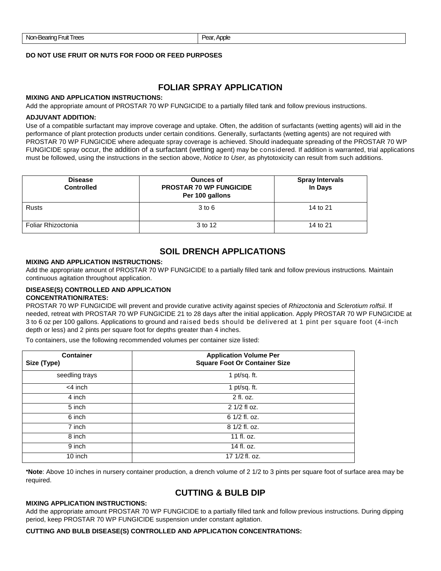#### **DO NOT USE FRUIT OR NUTS FOR FOOD OR FEED PURPOSES**

#### **FOLIAR SPRAY APPLICATION**

#### **MIXING AND APPLICATION INSTRUCTIONS:**

Add the appropriate amount of PROSTAR 70 WP FUNGICIDE to a partially filled tank and follow previous instructions.

#### **ADJUVANT ADDITION:**

Use of a compatible surfactant may improve coverage and uptake. Often, the addition of surfactants (wetting agents) will aid in the performance of plant protection products under certain conditions. Generally, surfactants (wetting agents) are not required with PROSTAR 70 WP FUNGICIDE where adequate spray coverage is achieved. Should inadequate spreading of the PROSTAR 70 WP FUNGICIDE spray occur, the addition of a surfactant (wetting agent) may be considered. If addition is warranted, trial applications must be followed, using the instructions in the section above, *Notice to User,* as phytotoxicity can result from such additions.

| <b>Disease</b><br><b>Controlled</b> | <b>Ounces of</b><br><b>PROSTAR 70 WP FUNGICIDE</b><br>Per 100 gallons | <b>Spray Intervals</b><br>In Days |
|-------------------------------------|-----------------------------------------------------------------------|-----------------------------------|
| <b>Rusts</b>                        | $3$ to $6$                                                            | 14 to 21                          |
| Foliar Rhizoctonia                  | 3 to 12                                                               | 14 to 21                          |

#### **SOIL DRENCH APPLICATIONS**

#### **MIXING AND APPLICATION INSTRUCTIONS:**

Add the appropriate amount of PROSTAR 70 WP FUNGICIDE to a partially filled tank and follow previous instructions*.* Maintain continuous agitation throughout application.

# **DISEASE(S) CONTROLLED AND APPLICATION**

#### **CONCENTRATION/RATES:**

PROSTAR 70 WP FUNGICIDE will prevent and provide curative activity against species of *Rhizoctonia* and *Sclerotium rolfsii*. If needed, retreat with PROSTAR 70 WP FUNGICIDE 21 to 28 days after the initial applica**t**ion. Apply PROSTAR 70 WP FUNGICIDE at 3 to 6 oz per 100 gallons. Applications to ground and raised beds should be delivered at 1 pint per square foot (4-inch depth or less) and 2 pints per square foot for depths greater than 4 inches.

To containers, use the following recommended volumes per container size listed:

| <b>Container</b><br>Size (Type) | <b>Application Volume Per</b><br><b>Square Foot Or Container Size</b> |  |
|---------------------------------|-----------------------------------------------------------------------|--|
| seedling trays                  | 1 pt/sq. ft.                                                          |  |
| $<$ 4 inch                      | 1 pt/sq. ft.                                                          |  |
| 4 inch                          | 2 fl. oz.                                                             |  |
| 5 inch                          | $21/2$ fl oz.                                                         |  |
| 6 inch                          | 6 1/2 fl. oz.                                                         |  |
| 7 inch                          | $81/2$ fl. oz.                                                        |  |
| 8 inch                          | 11 fl. oz.                                                            |  |
| 9 inch                          | 14 fl. oz.                                                            |  |
| 10 inch                         | 17 1/2 fl. oz.                                                        |  |

<sup>∗</sup>**Note**: Above 10 inches in nursery container production, a drench volume of 2 1/2 to 3 pints per square foot of surface area may be required.

## **CUTTING & BULB DIP**

#### **MIXING APPLICATION INSTRUCTIONS:**

Add the appropriate amount PROSTAR 70 WP FUNGICIDE to a partially filled tank and follow previous instructions. During dipping period, keep PROSTAR 70 WP FUNGICIDE suspension under constant agitation.

#### **CUTTING AND BULB DISEASE(S) CONTROLLED AND APPLICATION CONCENTRATIONS:**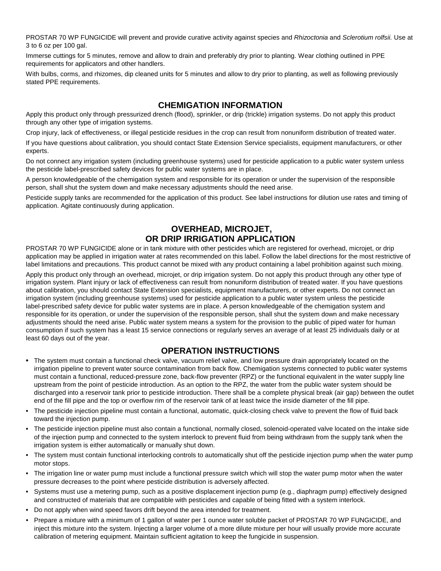PROSTAR 70 WP FUNGICIDE will prevent and provide curative activity against species and *Rhizoctonia* and *Sclerotium rolfsii.* Use at 3 to 6 oz per 100 gal.

Immerse cuttings for 5 minutes, remove and allow to drain and preferably dry prior to planting. Wear clothing outlined in PPE requirements for applicators and other handlers.

With bulbs, corms, and rhizomes, dip cleaned units for 5 minutes and allow to dry prior to planting, as well as following previously stated PPE requirements.

#### **CHEMIGATION INFORMATION**

Apply this product only through pressurized drench (flood), sprinkler, or drip (trickle) irrigation systems. Do not apply this product through any other type of irrigation systems.

Crop injury, lack of effectiveness, or illegal pesticide residues in the crop can result from nonuniform distribution of treated water.

If you have questions about calibration, you should contact State Extension Service specialists, equipment manufacturers, or other experts.

Do not connect any irrigation system (including greenhouse systems) used for pesticide application to a public water system unless the pesticide label-prescribed safety devices for public water systems are in place.

A person knowledgeable of the chemigation system and responsible for its operation or under the supervision of the responsible person, shall shut the system down and make necessary adjustments should the need arise.

Pesticide supply tanks are recommended for the application of this product. See label instructions for dilution use rates and timing of application. Agitate continuously during application.

## **OVERHEAD, MICROJET, OR DRIP IRRIGATION APPLICATION**

PROSTAR 70 WP FUNGICIDE alone or in tank mixture with other pesticides which are registered for overhead, microjet, or drip application may be applied in irrigation water at rates recommended on this label. Follow the label directions for the most restrictive of label limitations and precautions. This product cannot be mixed with any product containing a label prohibition against such mixing.

Apply this product only through an overhead, microjet, or drip irrigation system. Do not apply this product through any other type of irrigation system. Plant injury or lack of effectiveness can result from nonuniform distribution of treated water. If you have questions about calibration, you should contact State Extension specialists, equipment manufacturers, or other experts. Do not connect an irrigation system (including greenhouse systems) used for pesticide application to a public water system unless the pesticide label-prescribed safety device for public water systems are in place. A person knowledgeable of the chemigation system and responsible for its operation, or under the supervision of the responsible person, shall shut the system down and make necessary adjustments should the need arise. Public water system means a system for the provision to the public of piped water for human consumption if such system has a least 15 service connections or regularly serves an average of at least 25 individuals daily or at least 60 days out of the year.

#### **OPERATION INSTRUCTIONS**

- **•** The system must contain a functional check valve, vacuum relief valve, and low pressure drain appropriately located on the irrigation pipeline to prevent water source contamination from back flow. Chemigation systems connected to public water systems must contain a functional, reduced-pressure zone, back-flow preventer (RPZ) or the functional equivalent in the water supply line upstream from the point of pesticide introduction. As an option to the RPZ, the water from the public water system should be discharged into a reservoir tank prior to pesticide introduction. There shall be a complete physical break (air gap) between the outlet end of the fill pipe and the top or overflow rim of the reservoir tank of at least twice the inside diameter of the fill pipe.
- **•** The pesticide injection pipeline must contain a functional, automatic, quick-closing check valve to prevent the flow of fluid back toward the injection pump.
- **•** The pesticide injection pipeline must also contain a functional, normally closed, solenoid-operated valve located on the intake side of the injection pump and connected to the system interlock to prevent fluid from being withdrawn from the supply tank when the irrigation system is either automatically or manually shut down.
- **•** The system must contain functional interlocking controls to automatically shut off the pesticide injection pump when the water pump motor stops.
- **•** The irrigation line or water pump must include a functional pressure switch which will stop the water pump motor when the water pressure decreases to the point where pesticide distribution is adversely affected.
- **•** Systems must use a metering pump, such as a positive displacement injection pump (e.g., diaphragm pump) effectively designed and constructed of materials that are compatible with pesticides and capable of being fitted with a system interlock.
- **•** Do not apply when wind speed favors drift beyond the area intended for treatment.
- **•** Prepare a mixture with a minimum of 1 gallon of water per 1 ounce water soluble packet of PROSTAR 70 WP FUNGICIDE, and inject this mixture into the system. Injecting a larger volume of a more dilute mixture per hour will usually provide more accurate calibration of metering equipment. Maintain sufficient agitation to keep the fungicide in suspension.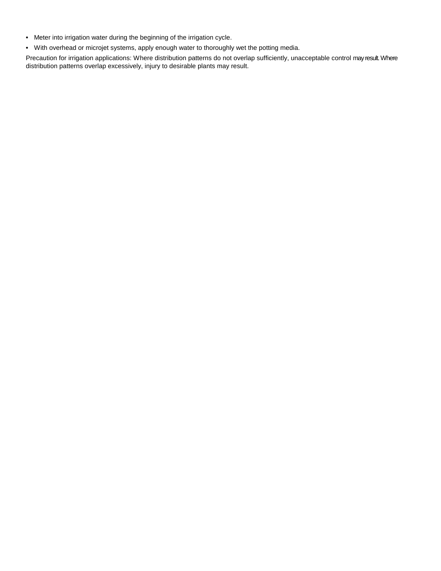- **•** Meter into irrigation water during the beginning of the irrigation cycle.
- **•** With overhead or microjet systems, apply enough water to thoroughly wet the potting media.

Precaution for irrigation applications: Where distribution patterns do not overlap sufficiently, unacceptable control may result. Where distribution patterns overlap excessively, injury to desirable plants may result.